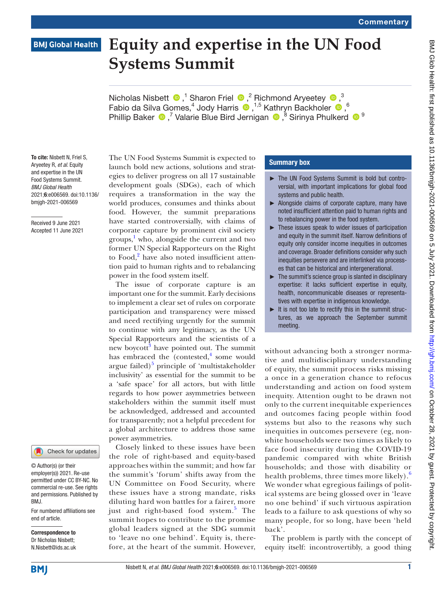# **BMJ Global Health**

# **Equity and expertise in the UN Food Systems Summit**

NicholasNisbett  $\bullet$ ,<sup>1</sup> Sharon Friel  $\bullet$ ,<sup>2</sup> Richmond Aryeetey  $\bullet$ ,<sup>3</sup> Fabioda Silva Gomes,<sup>4</sup> Jody Harris  $\bigcirc$ , <sup>1,5</sup> Kathryn Backholer  $\bigcirc$ , <sup>6</sup> PhillipBaker  $\bigcirc$ ,<sup>7</sup> Valarie Blue Bird Jernigan  $\bigcirc$ ,<sup>8</sup> Sirinya Phulkerd  $\bigcirc$ <sup>9</sup>

To cite: Nisbett N, Friel S, Aryeetey R, *et al*. Equity and expertise in the UN Food Systems Summit. *BMJ Global Health* 2021;6:e006569. doi:10.1136/ bmjgh-2021-006569

Received 9 June 2021 Accepted 11 June 2021



© Author(s) (or their employer(s)) 2021. Re-use permitted under CC BY-NC. No commercial re-use. See rights and permissions. Published by BMJ.

For numbered affiliations see end of article.

Correspondence to Dr Nicholas Nisbett; N.Nisbett@ids.ac.uk The UN Food Systems Summit is expected to launch bold new actions, solutions and strategies to deliver progress on all 17 sustainable development goals (SDGs), each of which requires a transformation in the way the world produces, consumes and thinks about food. However, the summit preparations have started controversially, with claims of corporate capture by prominent civil society groups, [1](#page-2-0) who, alongside the current and two former UN Special Rapporteurs on the Right to Food,<sup>[2](#page-2-1)</sup> have also noted insufficient attention paid to human rights and to rebalancing power in the food system itself.

The issue of corporate capture is an important one for the summit. Early decisions to implement a clear set of rules on corporate participation and transparency were missed and need rectifying urgently for the summit to continue with any legitimacy, as the UN Special Rapporteurs and the scientists of a new boycott<sup>[3](#page-2-2)</sup> have pointed out. The summit has embraced the  $( \text{context}, \frac{4}{3} \text{ some would})$  $( \text{context}, \frac{4}{3} \text{ some would})$  $( \text{context}, \frac{4}{3} \text{ some would})$ argue failed)<sup>[5](#page-2-4)</sup> principle of 'multistakeholder inclusivity' as essential for the summit to be a 'safe space' for all actors, but with little regards to how power asymmetries between stakeholders within the summit itself must be acknowledged, addressed and accounted for transparently; not a helpful precedent for a global architecture to address those same power asymmetries.

Closely linked to these issues have been the role of right-based and equity-based approaches within the summit; and how far the summit's 'forum' shifts away from the UN Committee on Food Security, where these issues have a strong mandate, risks diluting hard won battles for a fairer, more just and right-based food system.<sup>[5](#page-2-4)</sup> The summit hopes to contribute to the promise global leaders signed at the SDG summit to 'leave no one behind'. Equity is, therefore, at the heart of the summit. However,

# Summary box

- ► The UN Food Systems Summit is bold but controversial, with important implications for global food systems and public health.
- ► Alongside claims of corporate capture, many have noted insufficient attention paid to human rights and to rebalancing power in the food system.
- These issues speak to wider issues of participation and equity in the summit itself. Narrow definitions of equity only consider income inequities in outcomes and coverage. Broader definitions consider why such inequities persevere and are interlinked via processes that can be historical and intergenerational.
- ► The summit's science group is slanted in disciplinary expertise: it lacks sufficient expertise in equity, health, noncommunicable diseases or representatives with expertise in indigenous knowledge.
- $\blacktriangleright$  It is not too late to rectify this in the summit structures, as we approach the September summit meeting.

without advancing both a stronger normative and multidisciplinary understanding of equity, the summit process risks missing a once in a generation chance to refocus understanding and action on food system inequity. Attention ought to be drawn not only to the current inequitable experiences and outcomes facing people within food systems but also to the reasons why such inequities in outcomes persevere (eg, nonwhite households were two times as likely to face food insecurity during the COVID-19 pandemic compared with white British households; and those with disability or health problems, three times more likely).<sup>[6](#page-2-5)</sup> We wonder what egregious failings of political systems are being glossed over in 'leave no one behind' if such virtuous aspiration leads to a failure to ask questions of why so many people, for so long, have been 'held back'.

The problem is partly with the concept of equity itself: incontrovertibly, a good thing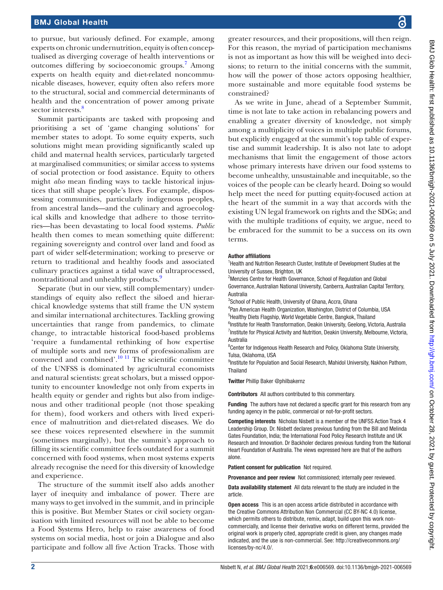# BMJ Global Health

to pursue, but variously defined. For example, among experts on chronic undernutrition, equity is often conceptualised as diverging coverage of health interventions or outcomes differing by socioeconomic groups.<sup>7</sup> Among experts on health equity and diet-related noncommunicable diseases, however, equity often also refers more to the structural, social and commercial determinants of health and the concentration of power among private sector interests.<sup>[8](#page-2-7)</sup>

Summit participants are tasked with proposing and prioritising a set of 'game changing solutions' for member states to adopt. To some equity experts, such solutions might mean providing significantly scaled up child and maternal health services, particularly targeted at marginalised communities; or similar access to systems of social protection or food assistance. Equity to others might *also* mean finding ways to tackle historical injustices that still shape people's lives. For example, dispossessing communities, particularly indigenous peoples, from ancestral lands—and the culinary and agroecological skills and knowledge that adhere to those territories—has been devastating to local food systems. *Public* health then comes to mean something quite different: regaining sovereignty and control over land and food as part of wider self-determination; working to preserve or return to traditional and healthy foods and associated culinary practices against a tidal wave of ultraprocessed, nontraditional and unhealthy products.<sup>[9](#page-2-8)</sup>

Separate (but in our view, still complementary) understandings of equity also reflect the siloed and hierarchical knowledge systems that still frame the UN system and similar international architectures. Tackling growing uncertainties that range from pandemics, to climate change, to intractable historical food-based problems 'require a fundamental rethinking of how expertise of multiple sorts and new forms of professionalism are convened and combined'. $\frac{10 \text{ H}}{11}$  The scientific committee of the UNFSS is dominated by agricultural economists and natural scientists: great scholars, but a missed opportunity to encounter knowledge not only from experts in health equity or gender and rights but also from indigenous and other traditional people (not those speaking for them), food workers and others with lived experience of malnutrition and diet-related diseases. We do see these voices represented elsewhere in the summit (sometimes marginally), but the summit's approach to filling its scientific committee feels outdated for a summit concerned with food systems, when most systems experts already recognise the need for this diversity of knowledge and experience.

The structure of the summit itself also adds another layer of inequity and imbalance of power. There are many ways to get involved in the summit, and in principle this is positive. But Member States or civil society organisation with limited resources will not be able to become a Food Systems Hero, help to raise awareness of food systems on social media, host or join a Dialogue and also participate and follow all five Action Tracks. Those with

greater resources, and their propositions, will then reign. For this reason, the myriad of participation mechanisms is not as important as how this will be weighed into decisions; to return to the initial concerns with the summit, how will the power of those actors opposing healthier, more sustainable and more equitable food systems be constrained?

As we write in June, ahead of a September Summit, time is not late to take action in rebalancing powers and enabling a greater diversity of knowledge, not simply among a multiplicity of voices in multiple public forums, but explicitly engaged at the summit's top table of expertise and summit leadership. It is also not late to adopt mechanisms that limit the engagement of those actors whose primary interests have driven our food systems to become unhealthy, unsustainable and inequitable, so the voices of the people can be clearly heard. Doing so would help meet the need for putting equity-focused action at the heart of the summit in a way that accords with the existing UN legal framework on rights and the SDGs; and with the multiple traditions of equity, we argue, need to be embraced for the summit to be a success on its own terms.

#### Author affiliations

<sup>1</sup>Health and Nutrition Research Cluster, Institute of Development Studies at the University of Sussex, Brighton, UK

<sup>2</sup>Menzies Centre for Health Governance, School of Regulation and Global Governance, Australian National University, Canberra, Australian Capital Territory, Australia

<sup>3</sup>School of Public Health, University of Ghana, Accra, Ghana

4 Pan American Health Organization, Washington, District of Columbia, USA 5 Healthy Diets Flagship, World Vegetable Centre, Bangkok, Thailand

<sup>6</sup>Institute for Health Transformation, Deakin University, Geelong, Victoria, Australia <sup>7</sup>Institute for Physical Activity and Nutrition, Deakin University, Melbourne, Victoria, Australia

<sup>8</sup> Center for Indigenous Health Research and Policy, Oklahoma State University, Tulsa, Oklahoma, USA

<sup>9</sup>Institute for Population and Social Research, Mahidol University, Nakhon Pathom, Thailand

Twitter Phillip Baker [@philbakernz](https://twitter.com/philbakernz)

Contributors All authors contributed to this commentary.

Funding The authors have not declared a specific grant for this research from any funding agency in the public, commercial or not-for-profit sectors.

Competing interests Nicholas Nisbett is a member of the UNFSS Action Track 4 Leadership Group. Dr. Nisbett declares previous funding from the Bill and Melinda Gates Foundation, India; the International Food Policy Research Institute and UK Research and Innovation. Dr Backholer declares previous funding from the National Heart Foundation of Australia. The views expressed here are that of the authors alone.

Patient consent for publication Not required.

Provenance and peer review Not commissioned; internally peer reviewed.

Data availability statement All data relevant to the study are included in the article.

Open access This is an open access article distributed in accordance with the Creative Commons Attribution Non Commercial (CC BY-NC 4.0) license, which permits others to distribute, remix, adapt, build upon this work noncommercially, and license their derivative works on different terms, provided the original work is properly cited, appropriate credit is given, any changes made indicated, and the use is non-commercial. See: [http://creativecommons.org/](http://creativecommons.org/licenses/by-nc/4.0/) [licenses/by-nc/4.0/.](http://creativecommons.org/licenses/by-nc/4.0/)